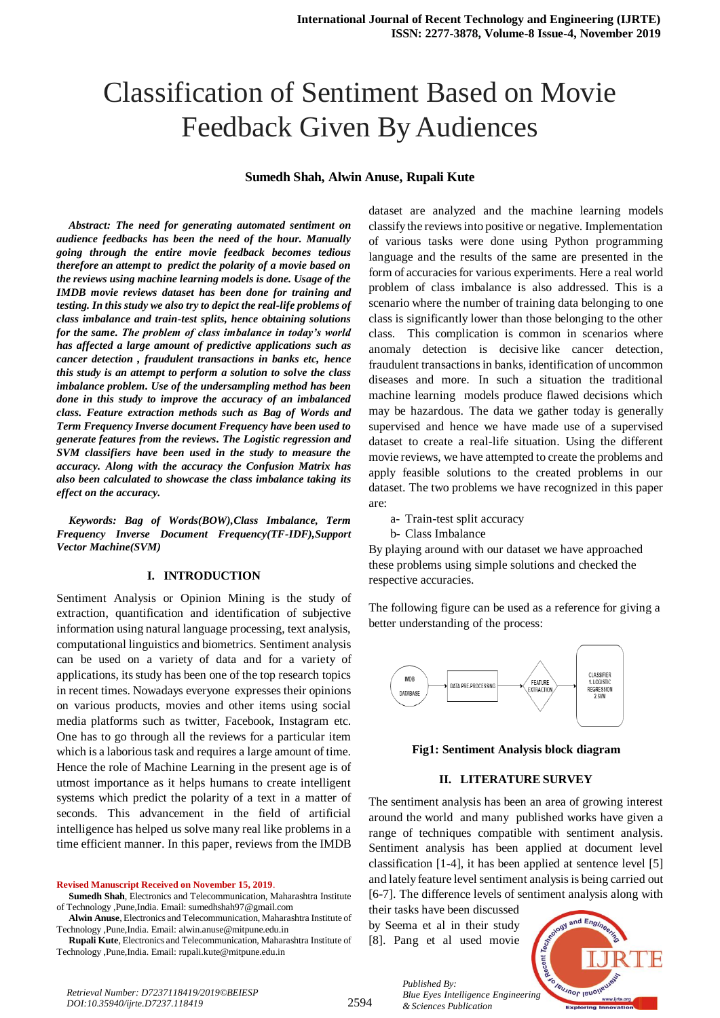# Classification of Sentiment Based on Movie Feedback Given By Audiences

#### **Sumedh Shah, Alwin Anuse, Rupali Kute**

*Abstract: The need for generating automated sentiment on audience feedbacks has been the need of the hour. Manually going through the entire movie feedback becomes tedious therefore an attempt to predict the polarity of a movie based on the reviews using machine learning models is done. Usage of the IMDB movie reviews dataset has been done for training and testing. In this study we also try to depict the real-life problems of class imbalance and train-test splits, hence obtaining solutions for the same. The problem of class imbalance in today's world has affected a large amount of predictive applications such as cancer detection , fraudulent transactions in banks etc, hence this study is an attempt to perform a solution to solve the class imbalance problem. Use of the undersampling method has been done in this study to improve the accuracy of an imbalanced class. Feature extraction methods such as Bag of Words and Term Frequency Inverse document Frequency have been used to generate features from the reviews. The Logistic regression and SVM classifiers have been used in the study to measure the accuracy. Along with the accuracy the Confusion Matrix has also been calculated to showcase the class imbalance taking its effect on the accuracy.*

*Keywords: Bag of Words(BOW),Class Imbalance, Term Frequency Inverse Document Frequency(TF-IDF),Support Vector Machine(SVM)*

#### **I. INTRODUCTION**

Sentiment Analysis or Opinion Mining is the study of extraction, quantification and identification of subjective information using natural language processing, text analysis, computational linguistics and biometrics. Sentiment analysis can be used on a variety of data and for a variety of applications, its study has been one of the top research topics in recent times. Nowadays everyone expresses their opinions on various products, movies and other items using social media platforms such as twitter, Facebook, Instagram etc. One has to go through all the reviews for a particular item which is a laborious task and requires a large amount of time. Hence the role of Machine Learning in the present age is of utmost importance as it helps humans to create intelligent systems which predict the polarity of a text in a matter of seconds. This advancement in the field of artificial intelligence has helped us solve many real like problems in a time efficient manner. In this paper, reviews from the IMDB

**Revised Manuscript Received on November 15, 2019**.

- **Sumedh Shah**, Electronics and Telecommunication, Maharashtra Institute of Technology ,Pune,India. Email: sumedhshah97@gmail.com
- **Alwin Anuse**, Electronics and Telecommunication, Maharashtra Institute of Technology ,Pune,India. Email: [alwin.anuse@mitpune.edu.in](mailto:alwin.anuse@mitpune.edu.in)
- **Rupali Kute**, Electronics and Telecommunication, Maharashtra Institute of Technology ,Pune,India. Email: [rupali.kute@mitpune.edu.in](mailto:rupali.kute@mitpune.edu.in)

dataset are analyzed and the machine learning models classify the reviews into positive or negative. Implementation of various tasks were done using Python programming language and the results of the same are presented in the form of accuracies for various experiments. Here a real world problem of class imbalance is also addressed. This is a scenario where the number of training data belonging to one class is significantly lower than those belonging to the other class. This complication is common in scenarios where anomaly detection is decisive like cancer detection, fraudulent transactions in banks, identification of uncommon diseases and more. In such a situation the traditional machine learning models produce flawed decisions which may be hazardous. The data we gather today is generally supervised and hence we have made use of a supervised dataset to create a real-life situation. Using the different movie reviews, we have attempted to create the problems and apply feasible solutions to the created problems in our dataset. The two problems we have recognized in this paper are:

- a- Train-test split accuracy
- b- Class Imbalance

By playing around with our dataset we have approached these problems using simple solutions and checked the respective accuracies.

The following figure can be used as a reference for giving a better understanding of the process:



**Fig1: Sentiment Analysis block diagram**

#### **II. LITERATURE SURVEY**

The sentiment analysis has been an area of growing interest around the world and many published works have given a range of techniques compatible with sentiment analysis. Sentiment analysis has been applied at document level classification [1-4], it has been applied at sentence level [5] and lately feature level sentiment analysis is being carried out [6-7]. The difference levels of sentiment analysis along with

their tasks have been discussed by Seema et al in their study [8]. Pang et al used movie

*& Sciences Publication* 

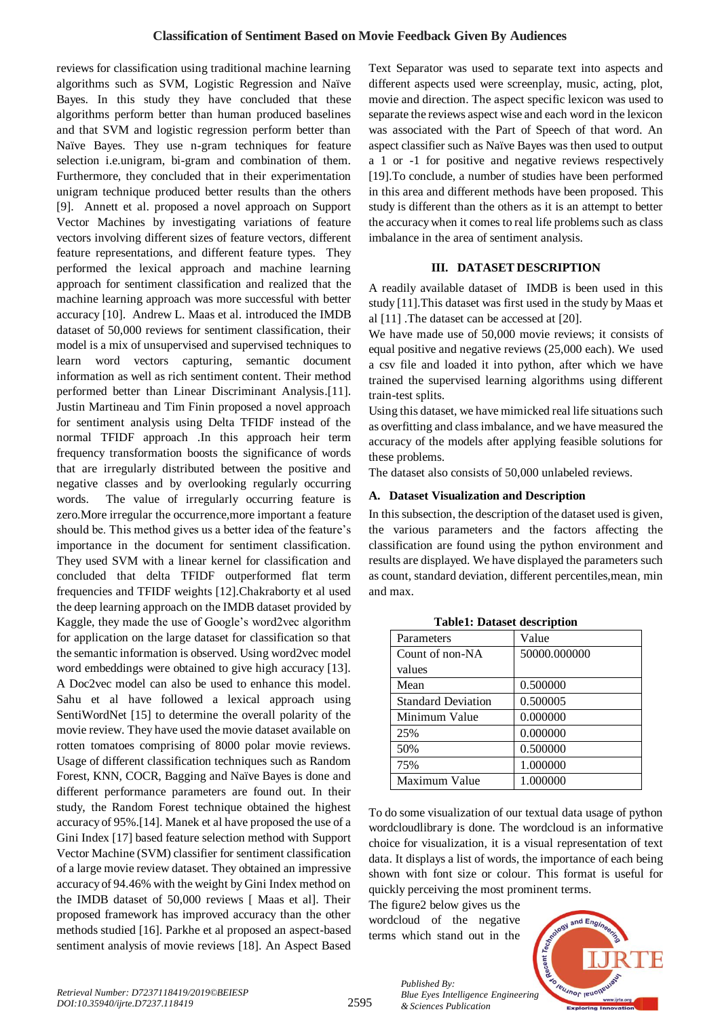reviews for classification using traditional machine learning algorithms such as SVM, Logistic Regression and Naïve Bayes. In this study they have concluded that these algorithms perform better than human produced baselines and that SVM and logistic regression perform better than Naïve Bayes. They use n-gram techniques for feature selection i.e.unigram, bi-gram and combination of them. Furthermore, they concluded that in their experimentation unigram technique produced better results than the others [9]. Annett et al. proposed a novel approach on Support Vector Machines by investigating variations of feature vectors involving different sizes of feature vectors, different feature representations, and different feature types. They performed the lexical approach and machine learning approach for sentiment classification and realized that the machine learning approach was more successful with better accuracy [10]. Andrew L. Maas et al. introduced the IMDB dataset of 50,000 reviews for sentiment classification, their model is a mix of unsupervised and supervised techniques to learn word vectors capturing, semantic document information as well as rich sentiment content. Their method performed better than Linear Discriminant Analysis.[11]. Justin Martineau and Tim Finin proposed a novel approach for sentiment analysis using Delta TFIDF instead of the normal TFIDF approach .In this approach heir term frequency transformation boosts the significance of words that are irregularly distributed between the positive and negative classes and by overlooking regularly occurring words. The value of irregularly occurring feature is zero.More irregular the occurrence,more important a feature should be. This method gives us a better idea of the feature's importance in the document for sentiment classification. They used SVM with a linear kernel for classification and concluded that delta TFIDF outperformed flat term frequencies and TFIDF weights [12].Chakraborty et al used the deep learning approach on the IMDB dataset provided by Kaggle, they made the use of Google's word2vec algorithm for application on the large dataset for classification so that the semantic information is observed. Using word2vec model word embeddings were obtained to give high accuracy [13]. A Doc2vec model can also be used to enhance this model. Sahu et al have followed a lexical approach using SentiWordNet [15] to determine the overall polarity of the movie review. They have used the movie dataset available on rotten tomatoes comprising of 8000 polar movie reviews. Usage of different classification techniques such as Random Forest, KNN, COCR, Bagging and Naïve Bayes is done and different performance parameters are found out. In their study, the Random Forest technique obtained the highest accuracy of 95%.[14]. Manek et al have proposed the use of a Gini Index [17] based feature selection method with Support Vector Machine (SVM) classifier for sentiment classification of a large movie review dataset. They obtained an impressive accuracy of 94.46% with the weight by Gini Index method on the IMDB dataset of 50,000 reviews [ Maas et al]. Their proposed framework has improved accuracy than the other methods studied [16]. Parkhe et al proposed an aspect-based sentiment analysis of movie reviews [18]. An Aspect Based

Text Separator was used to separate text into aspects and different aspects used were screenplay, music, acting, plot, movie and direction. The aspect specific lexicon was used to separate the reviews aspect wise and each word in the lexicon was associated with the Part of Speech of that word. An aspect classifier such as Naïve Bayes was then used to output a 1 or -1 for positive and negative reviews respectively [19].To conclude, a number of studies have been performed in this area and different methods have been proposed. This study is different than the others as it is an attempt to better the accuracy when it comes to real life problems such as class imbalance in the area of sentiment analysis.

#### **III. DATASET DESCRIPTION**

A readily available dataset of IMDB is been used in this study [11].This dataset was first used in the study by Maas et al [11] .The dataset can be accessed at [20].

We have made use of 50,000 movie reviews; it consists of equal positive and negative reviews (25,000 each). We used a csv file and loaded it into python, after which we have trained the supervised learning algorithms using different train-test splits.

Using this dataset, we have mimicked real life situations such as overfitting and class imbalance, and we have measured the accuracy of the models after applying feasible solutions for these problems.

The dataset also consists of 50,000 unlabeled reviews.

#### **A. Dataset Visualization and Description**

In thissubsection, the description of the dataset used is given, the various parameters and the factors affecting the classification are found using the python environment and results are displayed. We have displayed the parameters such as count, standard deviation, different percentiles,mean, min and max.

| Parameters                | Value        |
|---------------------------|--------------|
| Count of non-NA           | 50000.000000 |
| values                    |              |
| Mean                      | 0.500000     |
| <b>Standard Deviation</b> | 0.500005     |
| Minimum Value             | 0.000000     |
| 25%                       | 0.000000     |
| 50%                       | 0.500000     |
| 75%                       | 1.000000     |
| Maximum Value             | 1.000000     |

**Table1: Dataset description**

To do some visualization of our textual data usage of python wordcloudlibrary is done. The wordcloud is an informative choice for visualization, it is a visual representation of text data. It displays a list of words, the importance of each being shown with font size or colour. This format is useful for quickly perceiving the most prominent terms.

The figure2 below gives us the wordcloud of the negative terms which stand out in the



2595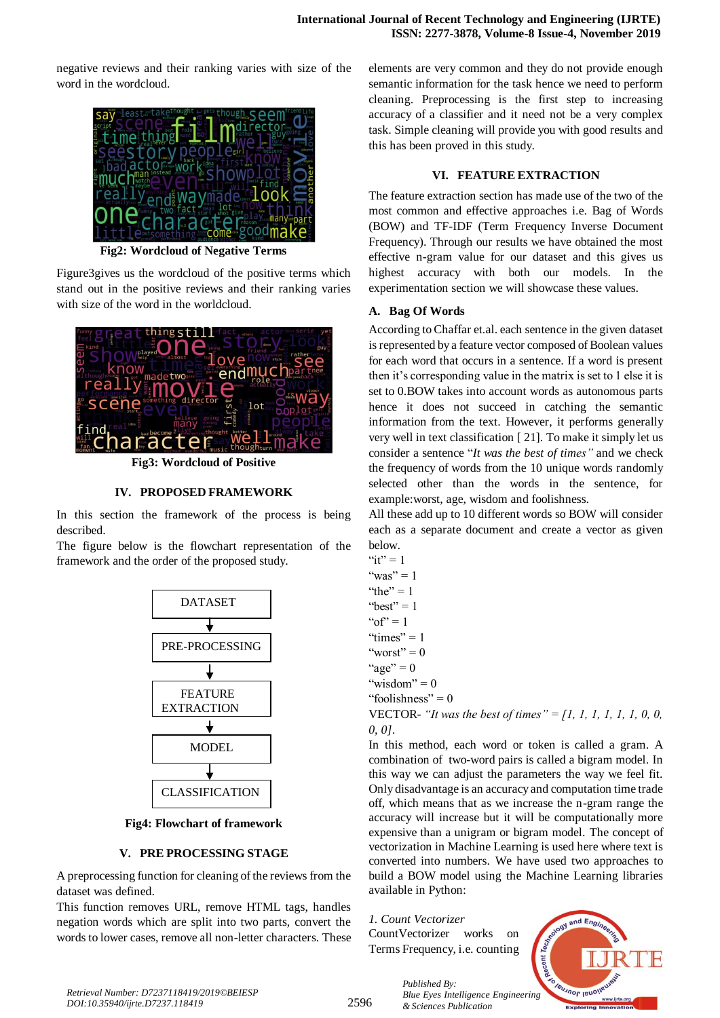negative reviews and their ranking varies with size of the word in the wordcloud.



**Fig2: Wordcloud of Negative Terms**

Figure3gives us the wordcloud of the positive terms which stand out in the positive reviews and their ranking varies with size of the word in the worldcloud.



**Fig3: Wordcloud of Positive**

#### **IV. PROPOSED FRAMEWORK**

In this section the framework of the process is being described.

The figure below is the flowchart representation of the framework and the order of the proposed study.



**Fig4: Flowchart of framework**

#### **V. PRE PROCESSING STAGE**

A preprocessing function for cleaning of the reviews from the dataset was defined.

This function removes URL, remove HTML tags, handles negation words which are split into two parts, convert the words to lower cases, remove all non-letter characters. These elements are very common and they do not provide enough semantic information for the task hence we need to perform cleaning. Preprocessing is the first step to increasing accuracy of a classifier and it need not be a very complex task. Simple cleaning will provide you with good results and this has been proved in this study.

#### **VI. FEATURE EXTRACTION**

The feature extraction section has made use of the two of the most common and effective approaches i.e. Bag of Words (BOW) and TF-IDF (Term Frequency Inverse Document Frequency). Through our results we have obtained the most effective n-gram value for our dataset and this gives us highest accuracy with both our models. In the experimentation section we will showcase these values.

#### **A. Bag Of Words**

According to Chaffar et.al. each sentence in the given dataset is represented by a feature vector composed of Boolean values for each word that occurs in a sentence. If a word is present then it's corresponding value in the matrix is set to 1 else it is set to 0.BOW takes into account words as autonomous parts hence it does not succeed in catching the semantic information from the text. However, it performs generally very well in text classification [ 21]. To make it simply let us consider a sentence "*It was the best of times"* and we check the frequency of words from the 10 unique words randomly selected other than the words in the sentence, for example:worst, age, wisdom and foolishness.

All these add up to 10 different words so BOW will consider each as a separate document and create a vector as given below.

" $it" = 1$ "was" =  $1$ "the"  $= 1$ " "best"  $= 1$ " $of$ " = 1 "times" =  $1$ "worst"  $= 0$ "age"  $= 0$ "wisdom" =  $0$ "foolishness" =  $0$ VECTOR- *"It was the best of times" = [1, 1, 1, 1, 1, 1, 0, 0, 0, 0].*

In this method, each word or token is called a gram. A combination of two-word pairs is called a bigram model. In this way we can adjust the parameters the way we feel fit. Only disadvantage is an accuracy and computation time trade off, which means that as we increase the n-gram range the accuracy will increase but it will be computationally more expensive than a unigram or bigram model. The concept of vectorization in Machine Learning is used here where text is converted into numbers. We have used two approaches to build a BOW model using the Machine Learning libraries available in Python:

*1. Count Vectorizer* CountVectorizer works on Terms Frequency, i.e. counting

*& Sciences Publication* 

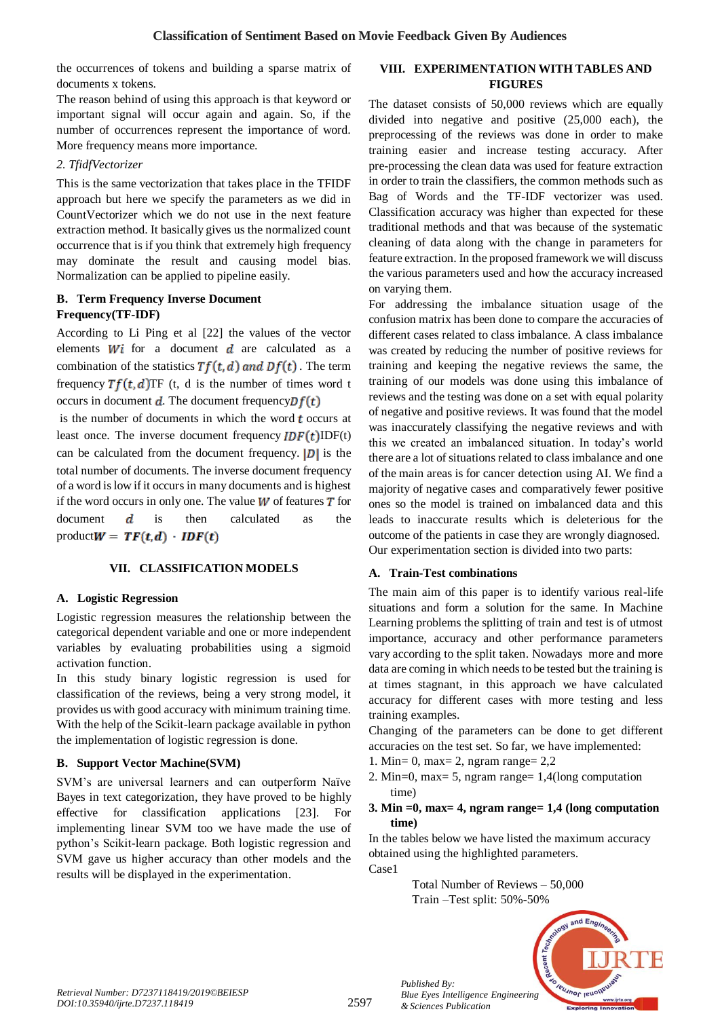the occurrences of tokens and building a sparse matrix of documents x tokens.

The reason behind of using this approach is that keyword or important signal will occur again and again. So, if the number of occurrences represent the importance of word. More frequency means more importance.

## *2. TfidfVectorizer*

This is the same vectorization that takes place in the TFIDF approach but here we specify the parameters as we did in CountVectorizer which we do not use in the next feature extraction method. It basically gives us the normalized count occurrence that is if you think that extremely high frequency may dominate the result and causing model bias. Normalization can be applied to pipeline easily.

## **B. Term Frequency Inverse Document Frequency(TF-IDF)**

According to Li Ping et al [22] the values of the vector elements  $Wi$  for a document  $d$  are calculated as a combination of the statistics  $Tf(t, d)$  and  $Df(t)$ . The term frequency  $Tf(t, d)$ TF (t, d is the number of times word t occurs in document  $d$ . The document frequency  $Df(t)$ 

is the number of documents in which the word  *occurs at* least once. The inverse document frequency  $IDF(t)IDF(t)$ can be calculated from the document frequency.  $|D|$  is the total number of documents. The inverse document frequency of a word is low if it occurs in many documents and is highest if the word occurs in only one. The value  $W$  of features  $T$  for document  $\boldsymbol{d}$  is then calculated as the product $W = TF(t, d) \cdot IDF(t)$ 

## **VII. CLASSIFICATION MODELS**

## **A. Logistic Regression**

Logistic regression measures the relationship between the categorical dependent variable and one or more independent variables by evaluating probabilities using a sigmoid activation function.

In this study binary logistic regression is used for classification of the reviews, being a very strong model, it provides us with good accuracy with minimum training time. With the help of the Scikit-learn package available in python the implementation of logistic regression is done.

## **B. Support Vector Machine(SVM)**

SVM's are universal learners and can outperform Naïve Bayes in text categorization, they have proved to be highly effective for classification applications [23]. For implementing linear SVM too we have made the use of python's Scikit-learn package. Both logistic regression and SVM gave us higher accuracy than other models and the results will be displayed in the experimentation.

## **VIII. EXPERIMENTATION WITH TABLES AND FIGURES**

The dataset consists of 50,000 reviews which are equally divided into negative and positive (25,000 each), the preprocessing of the reviews was done in order to make training easier and increase testing accuracy. After pre-processing the clean data was used for feature extraction in order to train the classifiers, the common methods such as Bag of Words and the TF-IDF vectorizer was used. Classification accuracy was higher than expected for these traditional methods and that was because of the systematic cleaning of data along with the change in parameters for feature extraction. In the proposed framework we will discuss the various parameters used and how the accuracy increased on varying them.

For addressing the imbalance situation usage of the confusion matrix has been done to compare the accuracies of different cases related to class imbalance. A class imbalance was created by reducing the number of positive reviews for training and keeping the negative reviews the same, the training of our models was done using this imbalance of reviews and the testing was done on a set with equal polarity of negative and positive reviews. It was found that the model was inaccurately classifying the negative reviews and with this we created an imbalanced situation. In today's world there are a lot of situations related to class imbalance and one of the main areas is for cancer detection using AI. We find a majority of negative cases and comparatively fewer positive ones so the model is trained on imbalanced data and this leads to inaccurate results which is deleterious for the outcome of the patients in case they are wrongly diagnosed. Our experimentation section is divided into two parts:

## **A. Train-Test combinations**

The main aim of this paper is to identify various real-life situations and form a solution for the same. In Machine Learning problems the splitting of train and test is of utmost importance, accuracy and other performance parameters vary according to the split taken. Nowadays more and more data are coming in which needs to be tested but the training is at times stagnant, in this approach we have calculated accuracy for different cases with more testing and less training examples.

Changing of the parameters can be done to get different accuracies on the test set. So far, we have implemented:

- 1. Min= 0, max= 2, ngram range=  $2.2$
- 2. Min=0, max= 5, ngram range= 1,4(long computation time)

#### **3. Min =0, max= 4, ngram range= 1,4 (long computation time)**

In the tables below we have listed the maximum accuracy obtained using the highlighted parameters. Case1

> Total Number of Reviews – 50,000 Train –Test split: 50%-50%



*Retrieval Number: D7237118419/2019©BEIESP DOI:10.35940/ijrte.D7237.118419*

*Published By:*

*& Sciences Publication*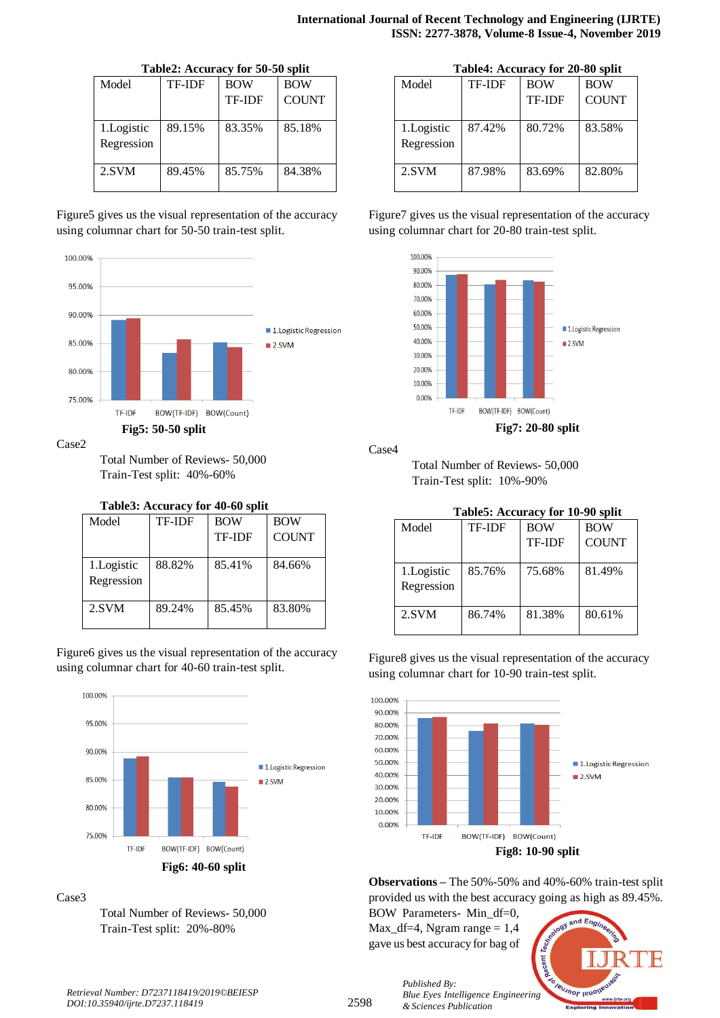|             |               | Table2: Accuracy for 50-50 split |              |
|-------------|---------------|----------------------------------|--------------|
| Model       | <b>TF-IDF</b> | <b>BOW</b>                       | <b>BOW</b>   |
|             |               | <b>TF-IDF</b>                    | <b>COUNT</b> |
| 1. Logistic | 89.15%        | 83.35%                           | 85.18%       |
| Regression  |               |                                  |              |
| 2.SVM       | 89.45%        | 85.75%                           | 84.38%       |

#### $\overline{a}$   $\overline{a}$   $\overline{a}$   $\overline{a}$   $\overline{a}$   $\overline{a}$   $\overline{a}$   $\overline{a}$   $\overline{b}$   $\overline{c}$   $\overline{a}$   $\overline{b}$   $\overline{c}$   $\overline{a}$   $\overline{b}$   $\overline{c}$   $\overline{c}$   $\overline{c}$   $\overline{c}$   $\overline{c}$   $\overline{c}$   $\overline{c}$   $\overline{c}$   $\overline{c}$   $\overline{$

Figure5 gives us the visual representation of the accuracy using columnar chart for 50-50 train-test split.



#### Case2

Total Number of Reviews- 50,000 Train-Test split: 40%-60%

#### **Table3: Accuracy for 40-60 split**

| Model       | TF-IDF | <b>BOW</b>    | <b>BOW</b>   |
|-------------|--------|---------------|--------------|
|             |        | <b>TF-IDF</b> | <b>COUNT</b> |
|             |        |               |              |
| 1. Logistic | 88.82% | 85.41%        | 84.66%       |
| Regression  |        |               |              |
|             |        |               |              |
| 2.SVM       | 89.24% | 85.45%        | 83.80%       |
|             |        |               |              |

Figure6 gives us the visual representation of the accuracy using columnar chart for 40-60 train-test split.



#### Case3

Total Number of Reviews- 50,000 Train-Test split: 20%-80%

|            | Table4: Accuracy for 20-80 split |               |              |  |  |  |
|------------|----------------------------------|---------------|--------------|--|--|--|
| Model      | <b>TF-IDF</b>                    | <b>BOW</b>    | <b>BOW</b>   |  |  |  |
|            |                                  | <b>TF-IDF</b> | <b>COUNT</b> |  |  |  |
| 1.Logistic | 87.42%                           | 80.72%        | 83.58%       |  |  |  |
| Regression |                                  |               |              |  |  |  |
| 2.SVM      | 87.98%                           | 83.69%        | 82.80%       |  |  |  |

Figure7 gives us the visual representation of the accuracy using columnar chart for 20-80 train-test split.



Case4

Total Number of Reviews- 50,000 Train-Test split: 10%-90%

| Table5: Accuracy for 10-90 split |               |                          |              |  |  |  |
|----------------------------------|---------------|--------------------------|--------------|--|--|--|
| Model                            | <b>TF-IDF</b> | <b>BOW</b><br><b>BOW</b> |              |  |  |  |
|                                  |               | <b>TF-IDF</b>            | <b>COUNT</b> |  |  |  |
| 1. Logistic<br>Regression        | 85.76%        | 75.68%                   | 81.49%       |  |  |  |
| 2.SVM                            | 86.74%        | 81.38%                   | 80.61%       |  |  |  |

Figure8 gives us the visual representation of the accuracy using columnar chart for 10-90 train-test split.



**Observations –** The 50%-50% and 40%-60% train-test split provided us with the best accuracy going as high as 89.45%.

BOW Parameters- Min\_df=0,  $Max_d f=4$ , Ngram range = 1,4 gave us best accuracy for bag of

*& Sciences Publication* 

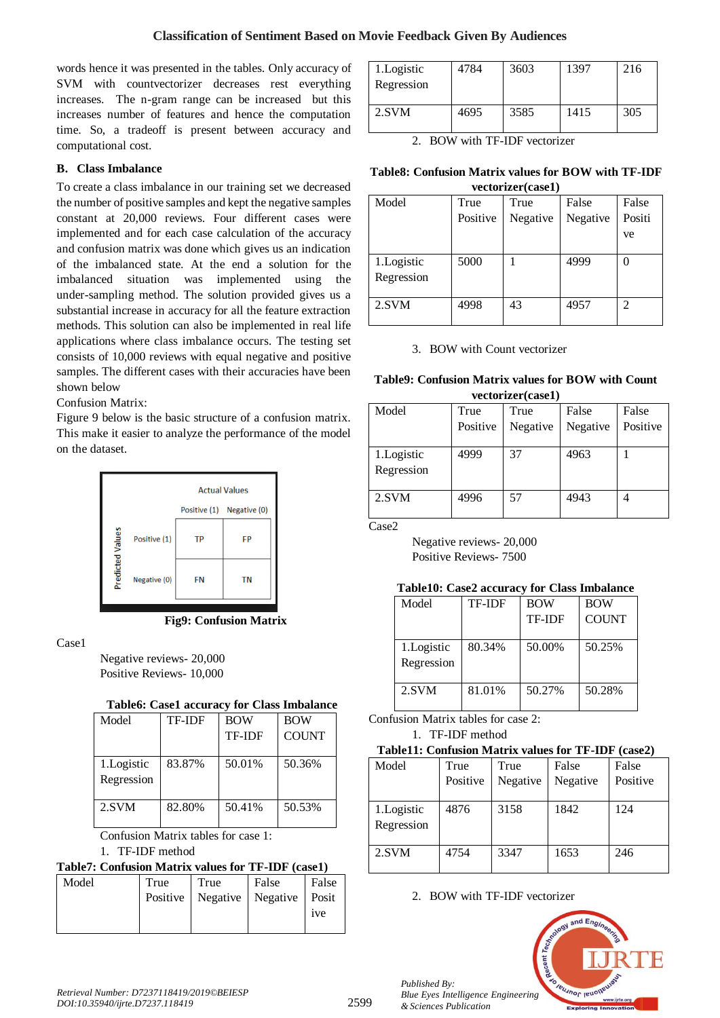words hence it was presented in the tables. Only accuracy of SVM with countvectorizer decreases rest everything increases. The n-gram range can be increased but this increases number of features and hence the computation time. So, a tradeoff is present between accuracy and computational cost.

## **B. Class Imbalance**

To create a class imbalance in our training set we decreased the number of positive samples and kept the negative samples constant at 20,000 reviews. Four different cases were implemented and for each case calculation of the accuracy and confusion matrix was done which gives us an indication of the imbalanced state. At the end a solution for the imbalanced situation was implemented using the under-sampling method. The solution provided gives us a substantial increase in accuracy for all the feature extraction methods. This solution can also be implemented in real life applications where class imbalance occurs. The testing set consists of 10,000 reviews with equal negative and positive samples. The different cases with their accuracies have been shown below

## Confusion Matrix:

Figure 9 below is the basic structure of a confusion matrix. This make it easier to analyze the performance of the model on the dataset.



**Fig9: Confusion Matrix**

Case1

Negative reviews- 20,000 Positive Reviews- 10,000

## **Table6: Case1 accuracy for Class Imbalance**

| Model       | <b>TF-IDF</b> | <b>BOW</b>    | <b>BOW</b>   |
|-------------|---------------|---------------|--------------|
|             |               | <b>TF-IDF</b> | <b>COUNT</b> |
|             |               |               |              |
| 1. Logistic | 83.87%        | 50.01%        | 50.36%       |
| Regression  |               |               |              |
| 2.SVM       | 82.80%        | 50.41%        | 50.53%       |
|             |               |               |              |
|             |               |               |              |

Confusion Matrix tables for case 1:

## 1. TF-IDF method

| Table7: Confusion Matrix values for TF-IDF (case1) |      |                                        |       |       |  |
|----------------------------------------------------|------|----------------------------------------|-------|-------|--|
| Model                                              | True | <b>True</b>                            | False | False |  |
|                                                    |      | Positive   Negative   Negative   Posit |       |       |  |
|                                                    |      |                                        |       | ive   |  |
|                                                    |      |                                        |       |       |  |

| 1. Logistic<br>Regression | 4784 | 3603 | 1397 | 216 |
|---------------------------|------|------|------|-----|
| 2.SVM                     | 4695 | 3585 | 1415 | 305 |

2. BOW with TF-IDF vectorizer

#### **Table8: Confusion Matrix values for BOW with TF-IDF vectorizer(case1)**

|                          | $, \, \text{even}$ |          |          |        |  |  |
|--------------------------|--------------------|----------|----------|--------|--|--|
| Model                    | True               | True     | False    | False  |  |  |
|                          | Positive           | Negative | Negative | Positi |  |  |
|                          |                    |          |          | ve     |  |  |
|                          |                    |          |          |        |  |  |
| 1.Logistic<br>Regression | 5000               |          | 4999     |        |  |  |
| 2.SVM                    | 4998               | 43       | 4957     | 2      |  |  |

3. BOW with Count vectorizer

#### **Table9: Confusion Matrix values for BOW with Count vectorizer(case1)**

| Model                    | True<br>Positive | True<br>Negative | False<br>Negative | False<br>Positive |  |
|--------------------------|------------------|------------------|-------------------|-------------------|--|
| 1.Logistic<br>Regression | 4999             | 37               | 4963              |                   |  |
| 2.SVM                    | 4996             | 57               | 4943              |                   |  |

Case2

Negative reviews- 20,000 Positive Reviews- 7500

## **Table10: Case2 accuracy for Class Imbalance**

| Model                     | <b>TF-IDF</b> | <b>BOW</b>    | <b>BOW</b>   |
|---------------------------|---------------|---------------|--------------|
|                           |               | <b>TF-IDF</b> | <b>COUNT</b> |
| 1. Logistic<br>Regression | 80.34%        | 50.00%        | 50.25%       |
| 2.SVM                     | 81.01%        | 50.27%        | 50.28%       |

Confusion Matrix tables for case 2:

1. TF-IDF method

## **Table11: Confusion Matrix values for TF-IDF (case2)**

| Model                     | True     | True     | False    | False    |
|---------------------------|----------|----------|----------|----------|
|                           | Positive | Negative | Negative | Positive |
| 1. Logistic<br>Regression | 4876     | 3158     | 1842     | 124      |
| 2.SVM                     | 4754     | 3347     | 1653     | 246      |

2. BOW with TF-IDF vectorizer



*Published By:*

*& Sciences Publication*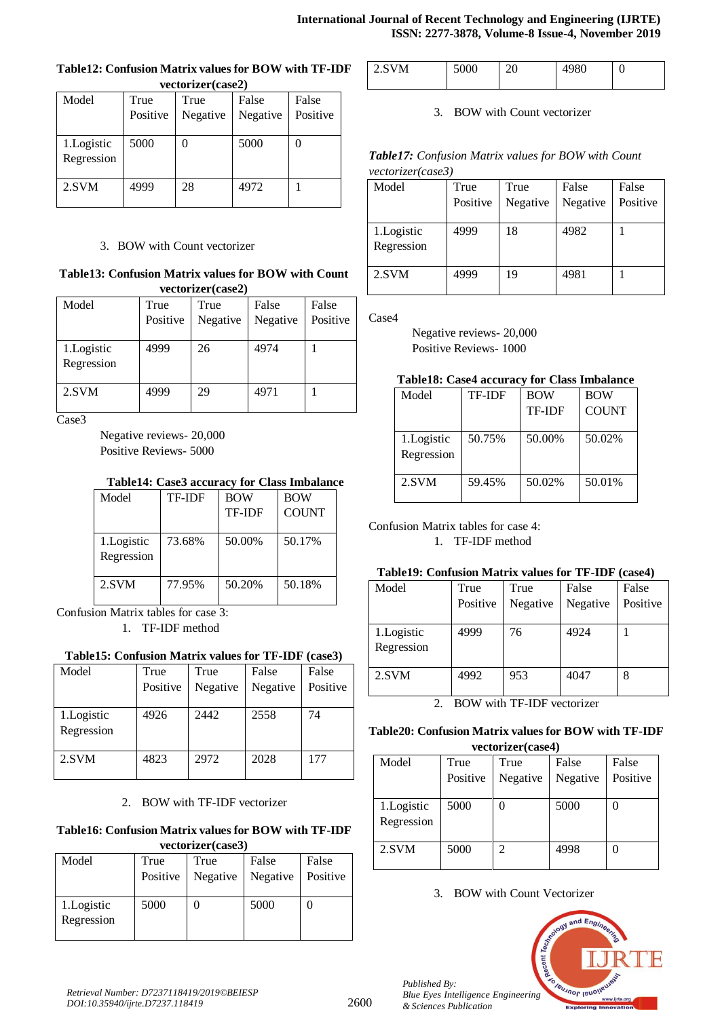| vectorizer(case2) |          |          |          |          |  |  |
|-------------------|----------|----------|----------|----------|--|--|
| Model             | True     | True     | False    | False    |  |  |
|                   | Positive | Negative | Negative | Positive |  |  |
|                   |          |          |          |          |  |  |
| 1. Logistic       | 5000     |          | 5000     |          |  |  |
| Regression        |          |          |          |          |  |  |
| 2.SVM             | 4999     | 28       | 4972     |          |  |  |

# **Table12: Confusion Matrix values for BOW with TF-IDF**

## 3. BOW with Count vectorizer

#### **Table13: Confusion Matrix values for BOW with Count vectorizer(case2)**

| Model       | True     | True     | False    | False    |
|-------------|----------|----------|----------|----------|
|             | Positive | Negative | Negative | Positive |
| 1. Logistic | 4999     | 26       | 4974     |          |
| Regression  |          |          |          |          |
| 2.SVM       | 4999     | 29       | 4971     |          |

Case3

Negative reviews- 20,000 Positive Reviews- 5000

## **Table14: Case3 accuracy for Class Imbalance**

| Model                    | <b>TF-IDF</b> | <b>BOW</b>    | <b>BOW</b>   |
|--------------------------|---------------|---------------|--------------|
|                          |               | <b>TF-IDF</b> | <b>COUNT</b> |
| 1.Logistic<br>Regression | 73.68%        | 50.00%        | 50.17%       |
| 2.SVM                    | 77.95%        | 50.20%        | 50.18%       |

Confusion Matrix tables for case 3: 1. TF-IDF method

## **Table15: Confusion Matrix values for TF-IDF (case3)**

| Model                     | True<br>Positive | True<br>Negative | False<br>Negative | False<br>Positive |
|---------------------------|------------------|------------------|-------------------|-------------------|
| 1. Logistic<br>Regression | 4926             | 2442             | 2558              | 74                |
| 2.SVM                     | 4823             | 2972             | 2028              | 177               |

## 2. BOW with TF-IDF vectorizer

#### **Table16: Confusion Matrix values for BOW with TF-IDF vectorizer(case3)**

| VULLUI ILUI (CASUJ)      |          |          |          |          |  |
|--------------------------|----------|----------|----------|----------|--|
| Model                    | True     | True     | False    | False    |  |
|                          | Positive | Negative | Negative | Positive |  |
| 1.Logistic<br>Regression | 5000     |          | 5000     |          |  |

| $2$ SVM |  | - - | ッし<br>ັ | U |
|---------|--|-----|---------|---|
|---------|--|-----|---------|---|

3. BOW with Count vectorizer

*Table17: Confusion Matrix values for BOW with Count vectorizer(case3)*

| Model                    | True     | True     | False    | False    |
|--------------------------|----------|----------|----------|----------|
|                          | Positive | Negative | Negative | Positive |
| 1.Logistic<br>Regression | 4999     | 18       | 4982     |          |
| 2.SVM                    | 4999     | 19       | 4981     |          |

Case4

Negative reviews- 20,000 Positive Reviews- 1000

## **Table18: Case4 accuracy for Class Imbalance**

| Model      | <b>TF-IDF</b> | <b>BOW</b>    | <b>BOW</b>   |
|------------|---------------|---------------|--------------|
|            |               | <b>TF-IDF</b> | <b>COUNT</b> |
|            |               |               |              |
| 1.Logistic | 50.75%        | 50.00%        | 50.02%       |
| Regression |               |               |              |
|            |               |               |              |
| 2.SVM      | 59.45%        | 50.02%        | 50.01%       |
|            |               |               |              |

## Confusion Matrix tables for case 4:

1. TF-IDF method

## **Table19: Confusion Matrix values for TF-IDF (case4)**

| Model      | True     | True     | False    | False    |
|------------|----------|----------|----------|----------|
|            | Positive | Negative | Negative | Positive |
|            |          |          |          |          |
| 1.Logistic | 4999     | 76       | 4924     |          |
| Regression |          |          |          |          |
|            |          |          |          |          |
| 2.SVM      | 4992     | 953      | 4047     | 8        |
|            |          |          |          |          |

2. BOW with TF-IDF vectorizer

## **Table20: Confusion Matrix values for BOW with TF-IDF vectorizer(case4)**

| Model       | True     | True                        | False    | False    |  |
|-------------|----------|-----------------------------|----------|----------|--|
|             | Positive | Negative                    | Negative | Positive |  |
|             |          |                             |          |          |  |
| 1. Logistic | 5000     |                             | 5000     |          |  |
| Regression  |          |                             |          |          |  |
| 2.SVM       | 5000     | $\mathcal{D}_{\mathcal{L}}$ | 4998     |          |  |
|             |          |                             |          |          |  |
|             |          |                             |          |          |  |

3. BOW with Count Vectorizer



*Published By:*

*& Sciences Publication*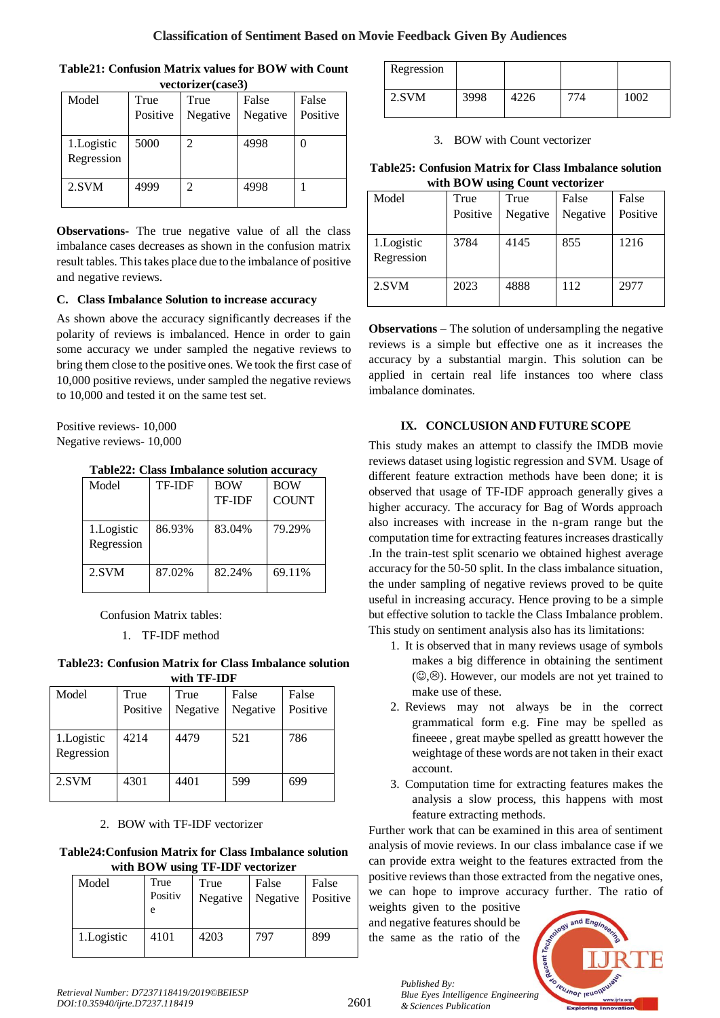| <b>Table21: Confusion Matrix values for BOW with Count</b> |             |      |       |       |  |  |  |
|------------------------------------------------------------|-------------|------|-------|-------|--|--|--|
| vectorizer(case3)                                          |             |      |       |       |  |  |  |
| Model                                                      | <b>True</b> | True | False | False |  |  |  |
|                                                            |             |      |       |       |  |  |  |

 $T$ 

| Model      | True     | True     | False    | False    |
|------------|----------|----------|----------|----------|
|            | Positive | Negative | Negative | Positive |
|            |          |          |          |          |
| 1.Logistic | 5000     | 2        | 4998     |          |
| Regression |          |          |          |          |
| 2.SVM      | 4999     | 2        | 4998     |          |
|            |          |          |          |          |

**Observations-** The true negative value of all the class imbalance cases decreases as shown in the confusion matrix result tables. This takes place due to the imbalance of positive and negative reviews.

## **C. Class Imbalance Solution to increase accuracy**

As shown above the accuracy significantly decreases if the polarity of reviews is imbalanced. Hence in order to gain some accuracy we under sampled the negative reviews to bring them close to the positive ones. We took the first case of 10,000 positive reviews, under sampled the negative reviews to 10,000 and tested it on the same test set.

Positive reviews- 10,000 Negative reviews- 10,000

**Table22: Class Imbalance solution accuracy**

| <b>TF-IDF</b> | <b>BOW</b>    | <b>BOW</b>   |
|---------------|---------------|--------------|
|               | <b>TF-IDF</b> | <b>COUNT</b> |
|               |               |              |
| 86.93%        | 83.04%        | 79.29%       |
|               |               |              |
| 87.02%        | 82.24%        | 69.11%       |
|               |               |              |

Confusion Matrix tables:

1. TF-IDF method

**Table23: Confusion Matrix for Class Imbalance solution with TF-IDF**

| Model                     | True     | True     | False    | False    |
|---------------------------|----------|----------|----------|----------|
|                           | Positive | Negative | Negative | Positive |
| 1. Logistic<br>Regression | 4214     | 4479     | 521      | 786      |
| 2.SVM                     | 4301     | 4401     | 599      | 699      |

## 2. BOW with TF-IDF vectorizer

## **Table24:Confusion Matrix for Class Imbalance solution with BOW using TF-IDF vectorizer**

| <u>лин рол мянь II IDI лосогдог</u> |                      |                  |                   |                   |
|-------------------------------------|----------------------|------------------|-------------------|-------------------|
| Model                               | True<br>Positiv<br>e | True<br>Negative | False<br>Negative | False<br>Positive |
| 1. Logistic                         | 4101                 | 4203             | 797               | 899               |

| Regression |      |      |      |
|------------|------|------|------|
| 2.SVM      | 3998 | 4226 | 1002 |

3. BOW with Count vectorizer

**Table25: Confusion Matrix for Class Imbalance solution with BOW using Count vectorizer**

| $m$ and $D \cup n$ and $D$ count $m$ |          |          |          |          |
|--------------------------------------|----------|----------|----------|----------|
| Model                                | True     | True     | False    | False    |
|                                      | Positive | Negative | Negative | Positive |
| 1. Logistic<br>Regression            | 3784     | 4145     | 855      | 1216     |
| 2.SVM                                | 2023     | 4888     | 112      | 2977     |

**Observations** – The solution of undersampling the negative reviews is a simple but effective one as it increases the accuracy by a substantial margin. This solution can be applied in certain real life instances too where class imbalance dominates.

## **IX. CONCLUSION AND FUTURE SCOPE**

This study makes an attempt to classify the IMDB movie reviews dataset using logistic regression and SVM. Usage of different feature extraction methods have been done; it is observed that usage of TF-IDF approach generally gives a higher accuracy. The accuracy for Bag of Words approach also increases with increase in the n-gram range but the computation time for extracting features increases drastically .In the train-test split scenario we obtained highest average accuracy for the 50-50 split. In the class imbalance situation, the under sampling of negative reviews proved to be quite useful in increasing accuracy. Hence proving to be a simple but effective solution to tackle the Class Imbalance problem. This study on sentiment analysis also has its limitations:

- 1. It is observed that in many reviews usage of symbols makes a big difference in obtaining the sentiment (,). However, our models are not yet trained to make use of these.
- 2. Reviews may not always be in the correct grammatical form e.g. Fine may be spelled as fineeee , great maybe spelled as greattt however the weightage of these words are not taken in their exact account.
- 3. Computation time for extracting features makes the analysis a slow process, this happens with most feature extracting methods.

Further work that can be examined in this area of sentiment analysis of movie reviews. In our class imbalance case if we can provide extra weight to the features extracted from the positive reviews than those extracted from the negative ones, we can hope to improve accuracy further. The ratio of

weights given to the positive and negative features should be the same as the ratio of the

*& Sciences Publication*